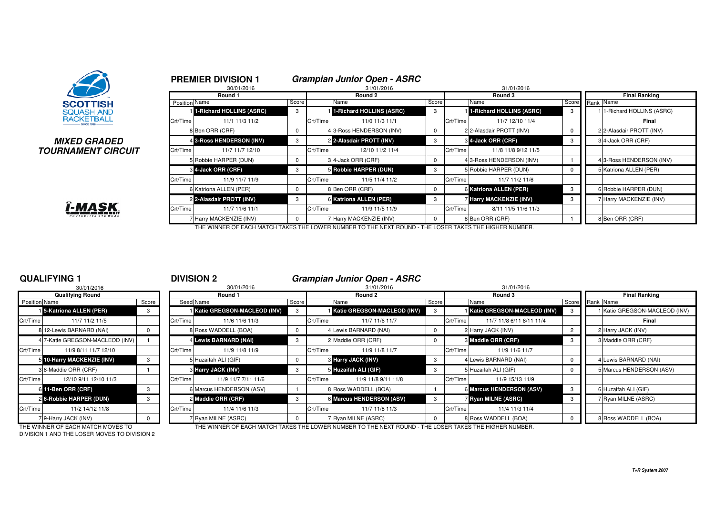

## **MIXED GRADEDTOURNAMENT CIRCUIT**



|              |               | <b>PREMIER DIVISION 1</b> |          |            | <b>Grampian Junior Open - ASRC</b> |       |          |                                 |                      |  |                          |  |
|--------------|---------------|---------------------------|----------|------------|------------------------------------|-------|----------|---------------------------------|----------------------|--|--------------------------|--|
|              |               | 30/01/2016                |          | 31/01/2016 |                                    |       |          | 31/01/2016                      |                      |  |                          |  |
|              |               | Round 1                   |          | Round 2    |                                    |       |          | Round 3                         | <b>Final Ranking</b> |  |                          |  |
|              | Position Name |                           | Score    |            | Name                               | Score |          | Name                            | Score                |  | Rank Name                |  |
|              |               | 1-Richard HOLLINS (ASRC)  | 3        |            | 1-Richard HOLLINS (ASRC)           |       |          | <b>1-Richard HOLLINS (ASRC)</b> | 3                    |  | 1-Richard HOLLINS (ASRC) |  |
|              | Crt/Time      | 11/1 11/3 11/2            |          | Crt/Time   | 11/0 11/3 11/1                     |       | Crt/Time | 11/7 12/10 11/4                 |                      |  | Final                    |  |
|              |               | 8 Ben ORR (CRF)           | $\Omega$ |            | 4 3-Ross HENDERSON (INV)           |       |          | 2 2-Alasdair PROTT (INV)        | 0                    |  | 2 2-Alasdair PROTT (INV) |  |
| D            |               | 4 3-Ross HENDERSON (INV)  | 3        |            | 2 2-Alasdair PROTT (INV)           | 3     |          | 3 4-Jack ORR (CRF)              | 3                    |  | 34-Jack ORR (CRF)        |  |
| <b>?CUIT</b> | Crt/Time      | 11/7 11/7 12/10           |          | Crt/Time   | 12/10 11/2 11/4                    |       | Crt/Time | 11/8 11/8 9/12 11/5             |                      |  |                          |  |
|              |               | 5 Robbie HARPER (DUN)     | 0        |            | 34-Jack ORR (CRF)                  |       |          | 4 3-Ross HENDERSON (INV)        |                      |  | 43-Ross HENDERSON (INV)  |  |
|              |               | <b>3 4-Jack ORR (CRF)</b> | 3        |            | 5 Robbie HARPER (DUN)              | 3     |          | 5 Robbie HARPER (DUN)           | $\Omega$             |  | 5 Katriona ALLEN (PER)   |  |
|              | Crt/Time      | 11/9 11/7 11/9            |          | Crt/Time   | 11/5 11/4 11/2                     |       | Crt/Time | 11/7 11/2 11/6                  |                      |  |                          |  |
|              |               | 6 Katriona ALLEN (PER)    | $\Omega$ |            | 8 Ben ORR (CRF)                    |       |          | 6 Katriona ALLEN (PER)          | 3                    |  | 6 Robbie HARPER (DUN)    |  |
|              |               | 2 2-Alasdair PROTT (INV)  | 3        |            | 6 Katriona ALLEN (PER)             | -3    |          | <b>Harry MACKENZIE (INV)</b>    | 3                    |  | 7 Harry MACKENZIE (INV)  |  |
|              | Crt/Time      | 11/7 11/6 11/1            |          | Crt/Time   | 11/9 11/5 11/9                     |       | Crt/Time | 8/11 11/5 11/6 11/3             |                      |  |                          |  |
|              |               | 7 Harry MACKENZIE (INV)   |          |            | 7 Harry MACKENZIE (INV)            |       |          | 8 Ben ORR (CRF)                 |                      |  | 8 Ben ORR (CRF)          |  |

THE WINNER OF EACH MATCH TAKES THE LOWER NUMBER TO THE NEXT ROUND - THE LOSER TAKES THE HIGHER NUMBER.

## **QUALIFYING 1**

|                      | 30/01/2016                      |       |          |
|----------------------|---------------------------------|-------|----------|
|                      | <b>Qualifying Round</b>         |       |          |
| <b>Position Name</b> |                                 | Score | Seed     |
|                      | 15-Katriona ALLEN (PER)         | 3     |          |
| Crt/Time             | 11/7 11/2 11/5                  |       | Crt/Time |
|                      | 8 12-Lewis BARNARD (NAI)        | O     | 8        |
|                      | 4 7-Katie GREGSON-MACLEOD (INV) | 1     | 4        |
| Crt/Time             | 11/9 8/11 11/7 12/10            |       | Crt/Time |
| 5                    | 10-Harry MACKENZIE (INV)        | 3     | 5        |
|                      | 3 8-Maddie ORR (CRF)            |       | 3        |
| Crt/Time             | 12/10 9/11 12/10 11/3           |       | Crt/Time |
| 6                    | 11-Ben ORR (CRF)                | 3     | 6        |
|                      | 2 6-Robbie HARPER (DUN)         | 3     | 2        |
| Crt/Time             | 11/2 14/12 11/8                 |       | Crt/Time |
|                      | 7 9-Harry JACK (INV)            | U     | 7        |

<sup>1</sup> **DIVISION 2 Grampian Junior Open - ASRC**

| 30/01/2016<br>30/01/2016 |                                   |       |          |                                    |       |          | 31/01/2016                                                                                           | 31/01/2016 |          |                                    |                 |  |                               |  |  |
|--------------------------|-----------------------------------|-------|----------|------------------------------------|-------|----------|------------------------------------------------------------------------------------------------------|------------|----------|------------------------------------|-----------------|--|-------------------------------|--|--|
| <b>Qualifying Round</b>  |                                   |       | Round 1  |                                    |       | Round 2  |                                                                                                      |            | Round 3  |                                    |                 |  | <b>Final Ranking</b>          |  |  |
| Position Name            |                                   | Score |          | Seed Name                          | Score |          | Name                                                                                                 | Score      |          | Name                               | Score Rank Name |  |                               |  |  |
|                          | 15-Katriona ALLEN (PER)           | 3     |          | <b>Katie GREGSON-MACLEOD (INV)</b> | -3    |          | <b>I Katie GREGSON-MACLEOD (INV)</b>                                                                 |            |          | <b>Katie GREGSON-MACLEOD (INV)</b> |                 |  | 1 Katie GREGSON-MACLEOD (INV) |  |  |
| Crt/Time                 | 11/7 11/2 11/5                    |       | Crt/Time | 11/6 11/6 11/3                     |       | Crt/Time | 11/7 11/6 11/7                                                                                       |            | Crt/Time | 11/7 11/8 6/11 8/11 11/4           |                 |  | Final                         |  |  |
|                          | 8 12-Lewis BARNARD (NAI)          |       |          | 8 Ross WADDELL (BOA)               |       |          | Lewis BARNARD (NAI)                                                                                  |            |          | 2 Harry JACK (INV)                 |                 |  | 2 Harry JACK (INV)            |  |  |
|                          | 4 7-Katie GREGSON-MACLEOD (INV)   |       |          | 4 Lewis BARNARD (NAI)              | -3    |          | 2 Maddie ORR (CRF)                                                                                   |            |          | <b>8 Maddie ORR (CRF)</b>          |                 |  | 3 Maddie ORR (CRF)            |  |  |
| Crt/Time                 | 11/9 8/11 11/7 12/10              |       | Crt/Time | 11/9 11/8 11/9                     |       | Crt/Time | 11/9 11/8 11/7                                                                                       |            | Crt/Time | 11/9 11/6 11/7                     |                 |  |                               |  |  |
|                          | 5 10-Harry MACKENZIE (INV)        |       |          | 5 Huzaifah ALI (GIF)               |       |          | 3 Harry JACK (INV)                                                                                   |            |          | 4 Lewis BARNARD (NAI)              |                 |  | 4 Lewis BARNARD (NAI)         |  |  |
|                          | 3 8-Maddie ORR (CRF)              |       |          | <b>8 Harry JACK (INV)</b>          | 3     |          | 5 Huzaifah ALI (GIF)                                                                                 |            |          | 5 Huzaifah ALI (GIF)               |                 |  | 5 Marcus HENDERSON (ASV)      |  |  |
| Crt/Time                 | 12/10 9/11 12/10 11/3             |       | Crt/Time | 11/9 11/7 7/11 11/6                |       | Crt/Time | 11/9 11/8 9/11 11/8                                                                                  |            | Crt/Time | 11/9 15/13 11/9                    |                 |  |                               |  |  |
|                          | 6 11-Ben ORR (CRF)                |       |          | 6 Marcus HENDERSON (ASV)           |       |          | 8 Ross WADDELL (BOA)                                                                                 |            |          | 6 Marcus HENDERSON (ASV)           |                 |  | 6 Huzaifah ALI (GIF)          |  |  |
|                          | 2 6-Robbie HARPER (DUN)           |       |          | 2 Maddie ORR (CRF)                 |       |          | 6 Marcus HENDERSON (ASV)                                                                             |            |          | <b>7 Ryan MILNE (ASRC)</b>         |                 |  | 7 Ryan MILNE (ASRC)           |  |  |
| Crt/Time                 | 11/2 14/12 11/8                   |       | Crt/Time | 11/4 11/6 11/3                     |       | Crt/Time | 11/7 11/8 11/3                                                                                       |            | Crt/Time | 11/4 11/3 11/4                     |                 |  |                               |  |  |
|                          | 79-Harry JACK (INV)               |       |          | 7 Ryan MILNE (ASRC)                |       |          | 7 Ryan MILNE (ASRC)                                                                                  |            |          | 8 Ross WADDELL (BOA)               |                 |  | 8 Ross WADDELL (BOA)          |  |  |
|                          | THE WINNER OF EACH MATCH MOVEC TO |       |          |                                    |       |          | THE WINNER OF EACH MATCH TAKES THE LOWER MUNDER TO THE MEYT ROUND. THE LOGER TAKES THE HIGHER MUNDER |            |          |                                    |                 |  |                               |  |  |

DIVISION 1 AND THE LOSER MOVES TO DIVISION 2

THE WINNER OF EACH MATCH MOVES TO THE WINNER OF EACH MATCH TAKES THE LOWER NUMBER TO THE NEXT ROUND - THE LOSER TAKES THE HIGHER NUMBER.